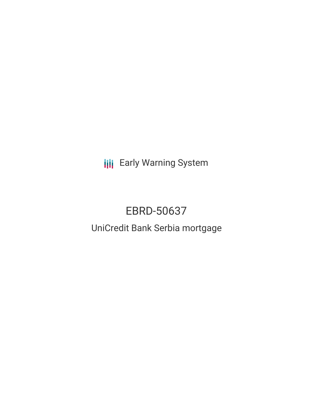**III** Early Warning System

# EBRD-50637

## UniCredit Bank Serbia mortgage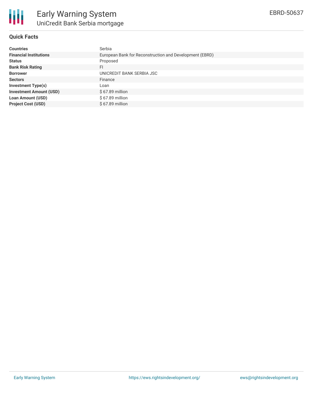

## **Quick Facts**

| <b>Countries</b>               | Serbia                                                  |
|--------------------------------|---------------------------------------------------------|
| <b>Financial Institutions</b>  | European Bank for Reconstruction and Development (EBRD) |
| <b>Status</b>                  | Proposed                                                |
| <b>Bank Risk Rating</b>        | FI                                                      |
| <b>Borrower</b>                | UNICREDIT BANK SERBIA JSC                               |
| <b>Sectors</b>                 | Finance                                                 |
| <b>Investment Type(s)</b>      | Loan                                                    |
| <b>Investment Amount (USD)</b> | \$67.89 million                                         |
| <b>Loan Amount (USD)</b>       | \$67.89 million                                         |
| <b>Project Cost (USD)</b>      | \$67.89 million                                         |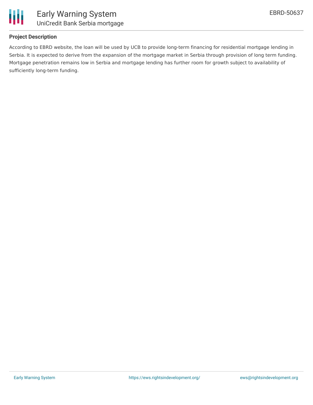

## **Project Description**

According to EBRD website, the loan will be used by UCB to provide long-term financing for residential mortgage lending in Serbia. It is expected to derive from the expansion of the mortgage market in Serbia through provision of long term funding. Mortgage penetration remains low in Serbia and mortgage lending has further room for growth subject to availability of sufficiently long-term funding.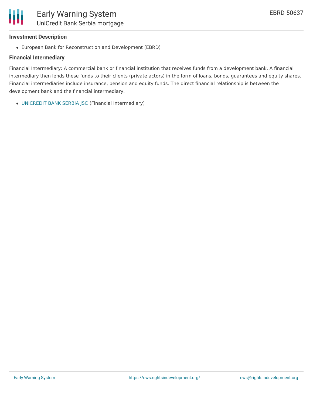## **Investment Description**

Ш

European Bank for Reconstruction and Development (EBRD)

## **Financial Intermediary**

Financial Intermediary: A commercial bank or financial institution that receives funds from a development bank. A financial intermediary then lends these funds to their clients (private actors) in the form of loans, bonds, guarantees and equity shares. Financial intermediaries include insurance, pension and equity funds. The direct financial relationship is between the development bank and the financial intermediary.

[UNICREDIT](file:///actor/1972/) BANK SERBIA JSC (Financial Intermediary)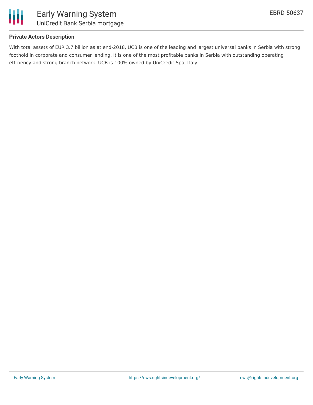

### **Private Actors Description**

With total assets of EUR 3.7 billion as at end-2018, UCB is one of the leading and largest universal banks in Serbia with strong foothold in corporate and consumer lending. It is one of the most profitable banks in Serbia with outstanding operating efficiency and strong branch network. UCB is 100% owned by UniCredit Spa, Italy.